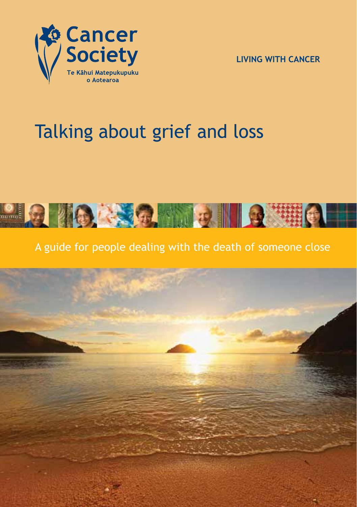

**LIVING WITH CANCER**

# Talking about grief and loss



A guide for people dealing with the death of someone close

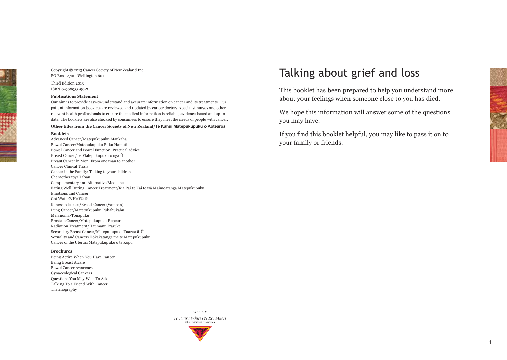Copyright © 2013 Cancer Society of New Zealand Inc, PO Box 12700, Wellington 6011 Third Edition 2013

ISBN 0-908933-96-7

#### **Publications Statement**

Our aim is to provide easy-to-understand and accurate information on cancer and its treatments. Our patient information booklets are reviewed and updated by cancer doctors, specialist nurses and other relevant health professionals to ensure the medical information is reliable, evidence-based and up-todate. The booklets are also checked by consumers to ensure they meet the needs of people with cancer.

#### Other titles from the Cancer Society of New Zealand/Te Kāhui Matepukupuku o Aotearoa

#### **Booklets**

Advanced Cancer/Matepukupuku Maukaha Bowel Cancer/Matepukupuku Puku Hamuti Bowel Cancer and Bowel Function: Practical advice Breast Cancer/Te Matepukupuku o ngā Ū Breast Cancer in Men: From one man to another Cancer Clinical Trials Cancer in the Family: Talking to your children Chemotherapy/Hahau Complementary and Alternative Medicine Eating Well During Cancer Treatment/Kia Pai te Kai te wā Maimoatanga Matepukupuku Emotions and Cancer Got Water?/He Wai? Kanesa o le susu/Breast Cancer (Samoan) Lung Cancer/Matepukupuku Pūkahukahu Melanoma/Tonapuku Prostate Cancer/Matepukupuku Repeure Radiation Treatment/Haumanu Iraruke Secondary Breast Cancer/Matepukupuku Tuarua ā-Ū Sexuality and Cancer/Hōkakatanga me te Matepukupuku Cancer of the Uterus/Matepukupuku o te Kopū

#### **Brochures**

Being Active When You Have Cancer Being Breast Aware Bowel Cancer Awareness Gynaecological Cancers Questions You May Wish To Ask Talking To a Friend With Cancer Thermography

## Talking about grief and loss

This booklet has been prepared to help you understand more about your feelings when someone close to you has died.

We hope this information will answer some of the questions you may have.

If you find this booklet helpful, you may like to pass it on to your family or friends.

'Kia ita! Te Taura Whiri i te Reo Māori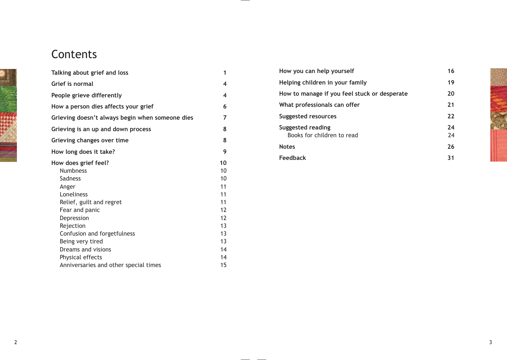# **Contents**

| Talking about grief and loss                    | 1                 |
|-------------------------------------------------|-------------------|
| Grief is normal                                 | 4                 |
| People grieve differently                       | 4                 |
| How a person dies affects your grief            | 6                 |
| Grieving doesn't always begin when someone dies | 7                 |
| Grieving is an up and down process              | 8                 |
| Grieving changes over time                      | 8                 |
| How long does it take?                          | 9                 |
| How does grief feel?<br><b>Numbness</b>         | 10<br>10          |
| <b>Sadness</b>                                  | 10                |
| Anger                                           | 11                |
| Loneliness                                      | 11                |
| Relief, guilt and regret                        | 11                |
| Fear and panic                                  | $12 \overline{ }$ |
| Depression                                      | 12                |
| Rejection                                       | 13                |
| Confusion and forgetfulness                     | 13                |
| Being very tired                                | 13                |
| Dreams and visions                              | 14                |
| Physical effects                                | 14                |
| Anniversaries and other special times           | 15                |

| How you can help yourself                       | 16       |
|-------------------------------------------------|----------|
| Helping children in your family                 | 19       |
| How to manage if you feel stuck or desperate    | 20       |
| What professionals can offer                    | 21       |
| Suggested resources                             | 22       |
| Suggested reading<br>Books for children to read | 24<br>24 |
| <b>Notes</b>                                    | 26       |
| Feedback                                        | 31       |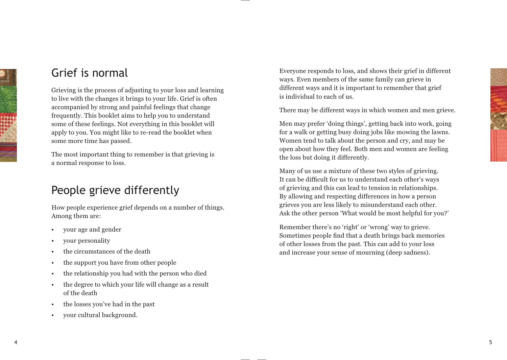

## Grief is normal

Grieving is the process of adjusting to your loss and learning to live with the changes it brings to your life. Grief is often accompanied by strong and painful feelings that change frequently. This booklet aims to help you to understand some of these feelings. Not everything in this booklet will apply to you. You might like to re-read the booklet when some more time has passed.

The most important thing to remember is that grieving is a normal response to loss.

## People grieve differently

How people experience grief depends on a number of things. Among them are:

- vour age and gender
- your personality
- the circumstances of the death
- $\cdot$  the support you have from other people
- the relationship you had with the person who died
- $\cdot$  the degree to which your life will change as a result of the death
- the losses you've had in the past
- vour cultural background.

Everyone responds to loss, and shows their grief in different ways. Even members of the same family can grieve in different ways and it is important to remember that grief is individual to each of us.

There may be different ways in which women and men grieve.

Men may prefer 'doing things', getting back into work, going for a walk or getting busy doing jobs like mowing the lawns. Women tend to talk about the person and cry, and may be open about how they feel. Both men and women are feeling the loss but doing it differently.

Many of us use a mixture of these two styles of grieving. It can be difficult for us to understand each other's ways of grieving and this can lead to tension in relationships. By allowing and respecting differences in how a person grieves you are less likely to misunderstand each other. Ask the other person 'What would be most helpful for you?'

Remember there's no 'right' or 'wrong' way to grieve. Sometimes people find that a death brings back memories of other losses from the past. This can add to your loss and increase your sense of mourning (deep sadness).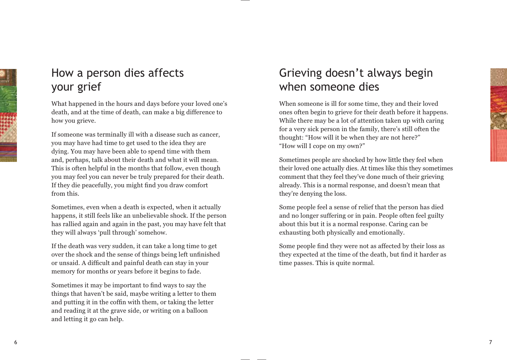# How a person dies affects your grief

What happened in the hours and days before your loved one's death, and at the time of death, can make a big difference to how you grieve.

If someone was terminally ill with a disease such as cancer, you may have had time to get used to the idea they are dying. You may have been able to spend time with them and, perhaps, talk about their death and what it will mean. This is often helpful in the months that follow, even though you may feel you can never be truly prepared for their death. If they die peacefully, you might find you draw comfort from this.

Sometimes, even when a death is expected, when it actually happens, it still feels like an unbelievable shock. If the person has rallied again and again in the past, you may have felt that they will always 'pull through' somehow.

If the death was very sudden, it can take a long time to get over the shock and the sense of things being left unfinished or unsaid. A difficult and painful death can stay in your memory for months or years before it begins to fade.

Sometimes it may be important to find ways to say the things that haven't be said, maybe writing a letter to them and putting it in the coffin with them, or taking the letter and reading it at the grave side, or writing on a balloon and letting it go can help.

# Grieving doesn't always begin when someone dies

When someone is ill for some time, they and their loved ones often begin to grieve for their death before it happens. While there may be a lot of attention taken up with caring for a very sick person in the family, there's still often the thought: "How will it be when they are not here?" "How will I cope on my own?"

Sometimes people are shocked by how little they feel when their loved one actually dies. At times like this they sometimes comment that they feel they've done much of their grieving already. This is a normal response, and doesn't mean that they're denying the loss.

Some people feel a sense of relief that the person has died and no longer suffering or in pain. People often feel guilty about this but it is a normal response. Caring can be exhausting both physically and emotionally.

Some people find they were not as affected by their loss as they expected at the time of the death, but find it harder as time passes. This is quite normal.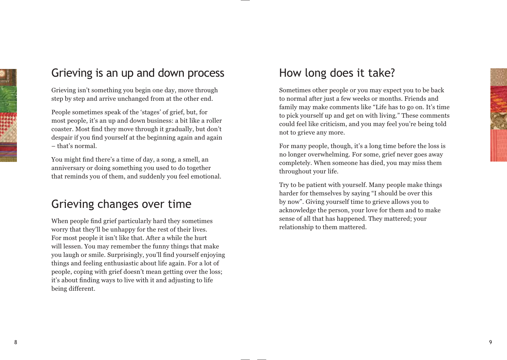

## Grieving is an up and down process

Grieving isn't something you begin one day, move through step by step and arrive unchanged from at the other end.

People sometimes speak of the 'stages' of grief, but, for most people, it's an up and down business: a bit like a roller coaster. Most find they move through it gradually, but don't despair if you find yourself at the beginning again and again  $-$  that's normal.

You might find there's a time of day, a song, a smell, an anniversary or doing something you used to do together that reminds you of them, and suddenly you feel emotional.

## Grieving changes over time

When people find grief particularly hard they sometimes worry that they'll be unhappy for the rest of their lives. For most people it isn't like that. After a while the hurt will lessen. You may remember the funny things that make you laugh or smile. Surprisingly, you'll find vourself enioving things and feeling enthusiastic about life again. For a lot of people, coping with grief doesn't mean getting over the loss; it's about finding ways to live with it and adjusting to life being different.

## How long does it take?

Sometimes other people or you may expect you to be back to normal after just a few weeks or months. Friends and family may make comments like "Life has to go on. It's time to pick yourself up and get on with living." These comments could feel like criticism, and you may feel you're being told not to grieve any more.

For many people, though, it's a long time before the loss is no longer overwhelming. For some, grief never goes away completely. When someone has died, you may miss them throughout your life.

Try to be patient with yourself. Many people make things harder for themselves by saying "I should be over this by now". Giving yourself time to grieve allows you to acknowledge the person, your love for them and to make sense of all that has happened. They mattered; your relationship to them mattered.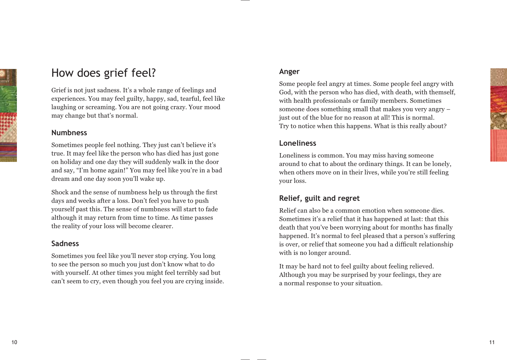10

# How does grief feel?

Grief is not just sadness. It's a whole range of feelings and experiences. You may feel guilty, happy, sad, tearful, feel like laughing or screaming. You are not going crazy. Your mood may change but that's normal.

#### **Numbness**

Sometimes people feel nothing. They just can't believe it's true. It may feel like the person who has died has just gone on holiday and one day they will suddenly walk in the door and say, "I'm home again!" You may feel like you're in a bad dream and one day soon you'll wake up.

Shock and the sense of numbness help us through the first days and weeks after a loss. Don't feel you have to push yourself past this. The sense of numbness will start to fade although it may return from time to time. As time passes the reality of your loss will become clearer.

## **Sadness**

Sometimes you feel like you'll never stop crying. You long to see the person so much you just don't know what to do with yourself. At other times you might feel terribly sad but  $\gamma$  can't seem to cry, even though you feel you are crying inside.

## **Anger**

Some people feel angry at times. Some people feel angry with God, with the person who has died, with death, with themself, with health professionals or family members. Sometimes someone does something small that makes you very angry – just out of the blue for no reason at all! This is normal. Try to notice when this happens. What is this really about?

#### **Loneliness**

Loneliness is common. You may miss having someone around to chat to about the ordinary things. It can be lonely, when others move on in their lives, while you're still feeling your loss.

## **Relief, guilt and regret**

Relief can also be a common emotion when someone dies. Sometimes it's a relief that it has happened at last: that this death that you've been worrying about for months has finally happened. It's normal to feel pleased that a person's suffering is over, or relief that someone you had a difficult relationship with is no longer around.

It may be hard not to feel guilty about feeling relieved. Although you may be surprised by your feelings, they are a normal response to your situation.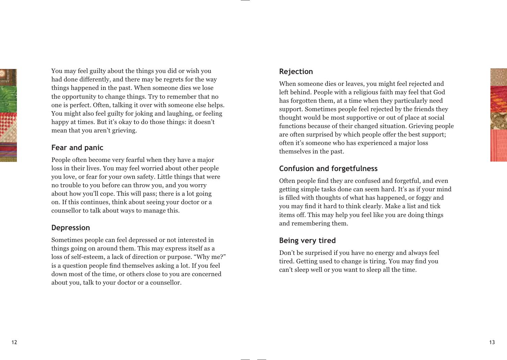

You may feel guilty about the things you did or wish you had done differently, and there may be regrets for the way things happened in the past. When someone dies we lose the opportunity to change things. Try to remember that no one is perfect. Often, talking it over with someone else helps. You might also feel guilty for joking and laughing, or feeling happy at times. But it's okay to do those things: it doesn't mean that you aren't grieving.

#### **Fear and panic**

People often become very fearful when they have a major loss in their lives. You may feel worried about other people you love, or fear for your own safety. Little things that were no trouble to you before can throw you, and you worry about how you'll cope. This will pass; there is a lot going on. If this continues, think about seeing your doctor or a counsellor to talk about ways to manage this.

#### **Depression**

Sometimes people can feel depressed or not interested in things going on around them. This may express itself as a loss of self-esteem, a lack of direction or purpose. "Why me?" is a question people find themselves asking a lot. If you feel down most of the time, or others close to you are concerned about you, talk to your doctor or a counsellor.

#### **Rejection**

When someone dies or leaves, you might feel rejected and left behind. People with a religious faith may feel that God has forgotten them, at a time when they particularly need support. Sometimes people feel rejected by the friends they thought would be most supportive or out of place at social functions because of their changed situation. Grieving people are often surprised by which people offer the best support; often it's someone who has experienced a major loss themselves in the past.

## **Confusion and forgetfulness**

Often people find they are confused and forgetful, and even getting simple tasks done can seem hard. It's as if your mind is filled with thoughts of what has happened, or foggy and you may find it hard to think clearly. Make a list and tick items off. This may help you feel like you are doing things and remembering them.

## **Being very tired**

Don't be surprised if you have no energy and always feel tired. Getting used to change is tiring. You may find you can't sleep well or you want to sleep all the time.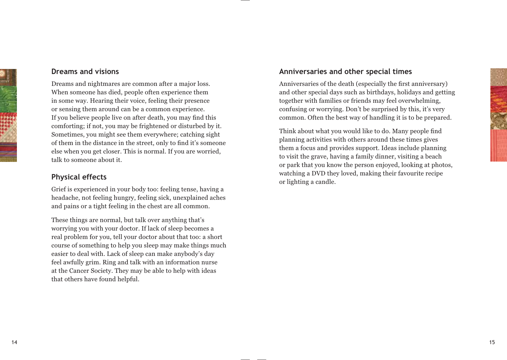

#### **Dreams and visions**

Dreams and nightmares are common after a major loss. When someone has died, people often experience them in some way. Hearing their voice, feeling their presence or sensing them around can be a common experience. If you believe people live on after death, you may find this comforting; if not, you may be frightened or disturbed by it. Sometimes, you might see them everywhere; catching sight of them in the distance in the street, only to find it's someone else when you get closer. This is normal. If you are worried, talk to someone about it.

#### **Physical effects**

Grief is experienced in your body too: feeling tense, having a headache, not feeling hungry, feeling sick, unexplained aches and pains or a tight feeling in the chest are all common.

These things are normal, but talk over anything that's worrying you with your doctor. If lack of sleep becomes a real problem for you, tell your doctor about that too: a short course of something to help you sleep may make things much easier to deal with. Lack of sleep can make anybody's day feel awfully grim. Ring and talk with an information nurse at the Cancer Society. They may be able to help with ideas that others have found helpful.

#### **Anniversaries and other special times**

Anniversaries of the death (especially the first anniversary) and other special days such as birthdays, holidays and getting together with families or friends may feel overwhelming, confusing or worrying. Don't be surprised by this, it's very common. Often the best way of handling it is to be prepared.

Think about what you would like to do. Many people find planning activities with others around these times gives them a focus and provides support. Ideas include planning to visit the grave, having a family dinner, visiting a beach or park that you know the person enjoyed, looking at photos, watching a DVD they loved, making their favourite recipe or lighting a candle.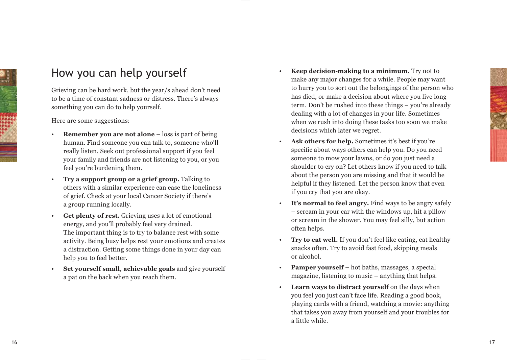

## How you can help yourself

Grieving can be hard work, but the year/s ahead don't need to be a time of constant sadness or distress. There's always something you can do to help yourself.

Here are some suggestions:

- **Remember you are not alone** loss is part of being human. Find someone you can talk to, someone who'll really listen. Seek out professional support if you feel your family and friends are not listening to you, or you feel you're burdening them.
- **Try a support group or a grief group.** Talking to others with a similar experience can ease the loneliness of grief. Check at your local Cancer Society if there's a group running locally.
- **Get plenty of rest.** Grieving uses a lot of emotional energy, and you'll probably feel very drained. The important thing is to try to balance rest with some activity. Being busy helps rest your emotions and creates a distraction. Getting some things done in your day can help you to feel better.
- **Set yourself small, achievable goals** and give yourself a pat on the back when you reach them.
- **Keep decision-making to a minimum.** Try not to make any major changes for a while. People may want to hurry you to sort out the belongings of the person who has died, or make a decision about where you live long term. Don't be rushed into these things  $-$  you're already dealing with a lot of changes in your life. Sometimes when we rush into doing these tasks too soon we make decisions which later we regret.
- Ask others for help. Sometimes it's best if you're specific about ways others can help you. Do you need someone to mow your lawns, or do you just need a shoulder to cry on? Let others know if you need to talk about the person you are missing and that it would be helpful if they listened. Let the person know that even if you cry that you are okay.
- **It's normal to feel angry.** Find ways to be angry safely – scream in your car with the windows up, hit a pillow or scream in the shower. You may feel silly, but action often helps.
- **Try to eat well.** If you don't feel like eating, eat healthy snacks often. Try to avoid fast food, skipping meals or alcohol.
- **Pamper yourself**  hot baths, massages, a special magazine, listening to music – anything that helps.
- **Learn ways to distract yourself** on the days when you feel you just can't face life. Reading a good book, playing cards with a friend, watching a movie: anything that takes you away from yourself and your troubles for a little while.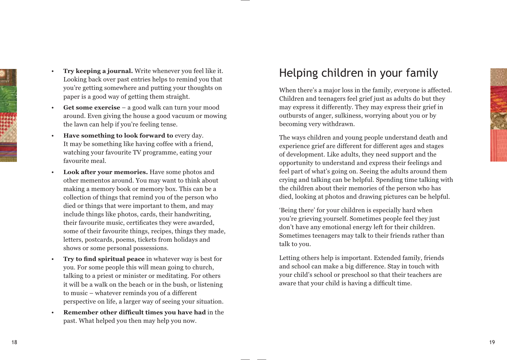

- **Try keeping a journal.** Write whenever you feel like it. Looking back over past entries helps to remind you that you're getting somewhere and putting your thoughts on paper is a good way of getting them straight.
- **Get some exercise** a good walk can turn your mood around. Even giving the house a good vacuum or mowing the lawn can help if you're feeling tense.
- **Have something to look forward to** every day. It may be something like having coffee with a friend, watching your favourite TV programme, eating your favourite meal.
- **Look after your memories.** Have some photos and other mementos around. You may want to think about making a memory book or memory box. This can be a collection of things that remind you of the person who died or things that were important to them, and may include things like photos, cards, their handwriting, their favourite music, certificates they were awarded, some of their favourite things, recipes, things they made, letters, postcards, poems, tickets from holidays and shows or some personal possessions.
- **Try to find spiritual peace** in whatever way is best for you. For some people this will mean going to church, talking to a priest or minister or meditating. For others it will be a walk on the beach or in the bush, or listening to music – whatever reminds you of a different perspective on life, a larger way of seeing your situation.
- **Remember other difficult times you have had** in the past. What helped you then may help you now.

## Helping children in your family

When there's a major loss in the family, everyone is affected. Children and teenagers feel grief just as adults do but they may express it differently. They may express their grief in outbursts of anger, sulkiness, worrying about you or by becoming very withdrawn.

The ways children and young people understand death and experience grief are different for different ages and stages of development. Like adults, they need support and the opportunity to understand and express their feelings and feel part of what's going on. Seeing the adults around them crying and talking can be helpful. Spending time talking with the children about their memories of the person who has died, looking at photos and drawing pictures can be helpful.

'Being there' for your children is especially hard when vou're grieving vourself. Sometimes people feel they just don't have any emotional energy left for their children. Sometimes teenagers may talk to their friends rather than talk to you.

Letting others help is important. Extended family, friends and school can make a big difference. Stay in touch with your child's school or preschool so that their teachers are aware that your child is having a difficult time.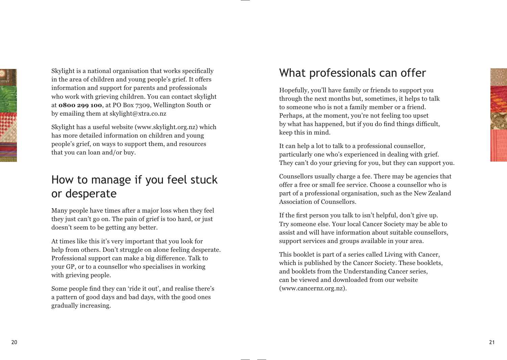

Skylight is a national organisation that works specifically in the area of children and young people's grief. It offers information and support for parents and professionals who work with grieving children. You can contact skylight at **0800 299 100**, at PO Box 7309, Wellington South or by emailing them at skylight@xtra.co.nz

Skylight has a useful website (www.skylight.org.nz) which has more detailed information on children and young people's grief, on ways to support them, and resources that you can loan and/or buy.

## How to manage if you feel stuck or desperate

Many people have times after a major loss when they feel they just can't go on. The pain of grief is too hard, or just doesn't seem to be getting any better.

At times like this it's very important that you look for help from others. Don't struggle on alone feeling desperate. Professional support can make a big difference. Talk to your GP, or to a counsellor who specialises in working with grieving people.

Some people find they can 'ride it out', and realise there's a pattern of good days and bad days, with the good ones gradually increasing.

## What professionals can offer

Hopefully, you'll have family or friends to support you through the next months but, sometimes, it helps to talk to someone who is not a family member or a friend. Perhaps, at the moment, you're not feeling too upset by what has happened, but if you do find things difficult, keep this in mind.

It can help a lot to talk to a professional counsellor, particularly one who's experienced in dealing with grief. They can't do your grieving for you, but they can support you.

Counsellors usually charge a fee. There may be agencies that offer a free or small fee service. Choose a counsellor who is part of a professional organisation, such as the New Zealand Association of Counsellors.

If the first person you talk to isn't helpful, don't give up. Try someone else. Your local Cancer Society may be able to assist and will have information about suitable counsellors, support services and groups available in your area.

This booklet is part of a series called Living with Cancer, which is published by the Cancer Society. These booklets, and booklets from the Understanding Cancer series, can be viewed and downloaded from our website (www.cancernz.org.nz).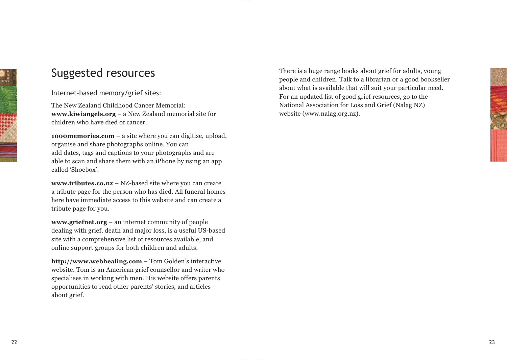# 

# Suggested resources

#### Internet-based memory/grief sites:

The New Zealand Childhood Cancer Memorial: **www.kiwiangels.org** – a New Zealand memorial site for children who have died of cancer.

**1000memories.com** – a site where you can digitise, upload, organise and share photographs online. You can add dates, tags and captions to your photographs and are able to scan and share them with an iPhone by using an app called 'Shoebox'.

**www.tributes.co.nz** – NZ-based site where you can create a tribute page for the person who has died. All funeral homes here have immediate access to this website and can create a tribute page for you.

**www.griefnet.org** – an internet community of people dealing with grief, death and major loss, is a useful US-based site with a comprehensive list of resources available, and online support groups for both children and adults.

**http://www.webhealing.com** – Tom Golden's interactive website. Tom is an American grief counsellor and writer who specialises in working with men. His website offers parents opportunities to read other parents' stories, and articles about grief.

There is a huge range books about grief for adults, young people and children. Talk to a librarian or a good bookseller about what is available that will suit your particular need. For an updated list of good grief resources, go to the National Association for Loss and Grief (Nalag NZ) website (www.nalag.org.nz).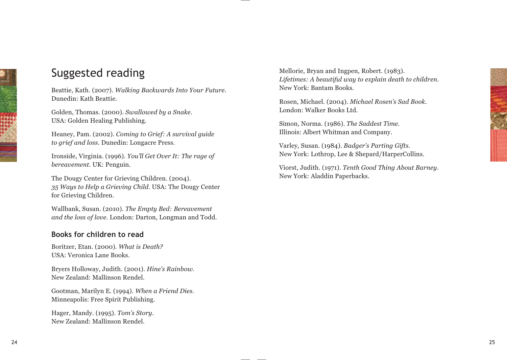

## Suggested reading

Beattie, Kath. (2007). *Walking Backwards Into Your Future.* Dunedin: Kath Beattie.

Golden, Thomas. (2000). *Swallowed by a Snake.* USA: Golden Healing Publishing.

Heaney, Pam. (2002). *Coming to Grief: A survival guide to grief and loss.* Dunedin: Longacre Press.

Ironside, Virginia. (1996). *You'll Get Over It: The rage of bereavement.* UK: Penguin.

The Dougy Center for Grieving Children. (2004). *35 Ways to Help a Grieving Child.* USA: The Dougy Center for Grieving Children.

Wallbank, Susan. (2010). *The Empty Bed: Bereavement and the loss of love.* London: Darton, Longman and Todd.

#### **Books for children to read**

Boritzer, Etan. (2000). *What is Death?* USA: Veronica Lane Books.

Bryers Holloway, Judith. (2001). *Hine's Rainbow.* New Zealand: Mallinson Rendel.

Gootman, Marilyn E. (1994). *When a Friend Dies.*  Minneapolis: Free Spirit Publishing.

Hager, Mandy. (1995). *Tom's Story.* New Zealand: Mallinson Rendel.

Mellorie, Bryan and Ingpen, Robert. (1983). *Lifetimes: A beautiful way to explain death to children.* New York: Bantam Books.

Rosen, Michael. (2004). *Michael Rosen's Sad Book.* London: Walker Books Ltd.

Simon, Norma. (1986). *The Saddest Time.* Illinois: Albert Whitman and Company.

Varley, Susan. (1984). *Badger's Parting Gifts.* New York: Lothrop, Lee & Shepard/HarperCollins.

Viorst, Judith. (1971). *Tenth Good Thing About Barney.* New York: Aladdin Paperbacks.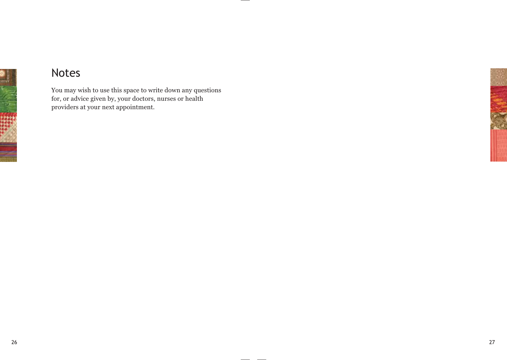

## Notes

You may wish to use this space to write down any questions for, or advice given by, your doctors, nurses or health providers at your next appointment.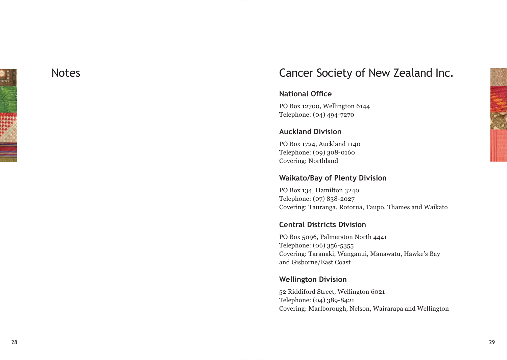

## **Notes**

## Cancer Society of New Zealand Inc.

#### **National Office**

PO Box 12700, Wellington 6144 Telephone: (04) 494-7270

## **Auckland Division**

PO Box 1724, Auckland 1140 Telephone: (09) 308-0160 Covering: Northland

## **Waikato/Bay of Plenty Division**

PO Box 134, Hamilton 3240 Telephone: (07) 838-2027 Covering: Tauranga, Rotorua, Taupo, Thames and Waikato

## **Central Districts Division**

PO Box 5096, Palmerston North 4441 Telephone: (06) 356-5355 Covering: Taranaki, Wanganui, Manawatu, Hawke's Bay and Gisborne/East Coast

#### **Wellington Division**

52 Riddiford Street, Wellington 6021 Telephone: (04) 389-8421 Covering: Marlborough, Nelson, Wairarapa and Wellington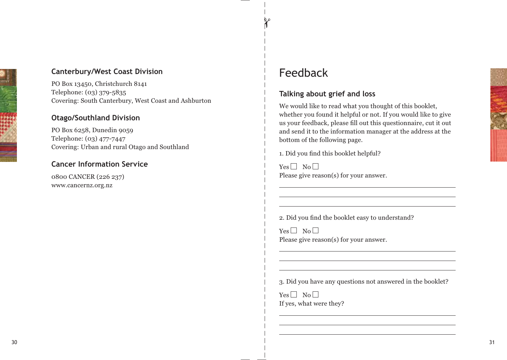# **Canterbury/West Coast Division**

PO Box 13450, Christchurch 8141 Telephone: (03) 379-5835 Covering: South Canterbury, West Coast and Ashburton

## **Otago/Southland Division**

PO Box 6258, Dunedin 9059 Telephone: (03) 477-7447 Covering: Urban and rural Otago and Southland

## **Cancer Information Service**

0800 CANCER (226 237) www.cancernz.org.nz

## Feedback

## **Talking about grief and loss**

We would like to read what you thought of this booklet, whether you found it helpful or not. If you would like to give us your feedback, please fill out this questionnaire, cut it out and send it to the information manager at the address at the bottom of the following page.

1. Did you find this booklet helpful?

 $Yes \Box No \Box$ Please give reason(s) for your answer.

2. Did you find the booklet easy to understand?

 $Yes \Box No \Box$ Please give reason(s) for your answer.

3. Did you have any questions not answered in the booklet?

 $Yes \Box No \Box$ If yes, what were they?

 $\mathbf{z}$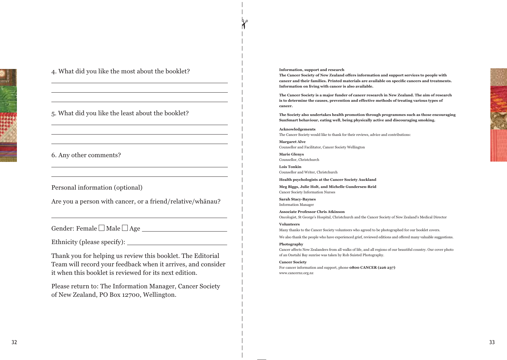

4. What did you like the most about the booklet?

#### 5. What did you like the least about the booklet?

#### 6. Any other comments?

Personal information (optional)

Are you a person with cancer, or a friend/relative/whanau?

Gender: Female  $\square$  Male  $\square$  Age

Ethnicity (please specify):

Thank you for helping us review this booklet. The Editorial Team will record your feedback when it arrives, and consider it when this booklet is reviewed for its next edition.

Please return to: The Information Manager, Cancer Society of New Zealand, PO Box 12700, Wellington.

**Information, support and research**

**The Cancer Society of New Zealand offers information and support services to people with F** cancer and their families. Printed materials are available on specific cancers and treatments. **Information on living with cancer is also available.**

**The Cancer Society is a major funder of cancer research in New Zealand. The aim of research is to determine the causes, prevention and effective methods of treating various types of cancer.**

**The Society also undertakes health promotion through programmes such as those encouraging SunSmart behaviour, eating well, being physically active and discouraging smoking.**

**Acknowledgements** The Cancer Society would like to thank for their reviews, advice and contributions:

**Margaret Alve**  Counsellor and Facilitator, Cancer Society Wellington

**Marie Glenys**  Counsellor, Christchurch

**Lois Tonkin** Counsellor and Writer, Christchurch

**Health psychologists at the Cancer Society Auckland** 

**Meg Biggs, Julie Holt, and Michelle Gundersen-Reid** Cancer Society Information Nurses

**Sarah Stacy-Baynes** Information Manager

**Associate Professor Chris Atkinson** Oncologist, St George's Hospital, Christchurch and the Cancer Society of New Zealand's Medical Director

**Volunteers**

Many thanks to the Cancer Society volunteers who agreed to be photographed for our booklet covers.

We also thank the people who have experienced grief, reviewed editions and offered many valuable suggestions.

#### **Photography**

Cancer affects New Zealanders from all walks of life, and all regions of our beautiful country. Our cover photo of an Onetahi Bay sunrise was taken by Rob Suisted Photography.

#### **Cancer Society**

For cancer information and support, phone **0800 CANCER (226 237)** www.cancernz.org.nz

 $\alpha$